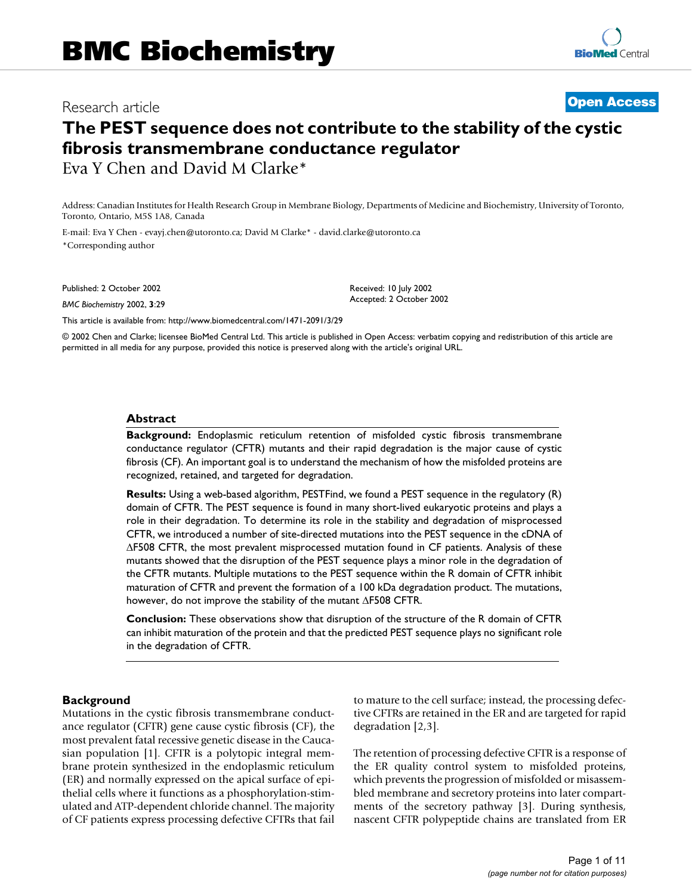# BMC Biochemistry 2002, 3 <sup>x</sup> **[Open Access](http://www.biomedcentral.com/info/about/charter/)** Research article

## **The PEST sequence does not contribute to the stability of the cystic fibrosis transmembrane conductance regulator** Eva Y Chen and David M Clarke\*

Address: Canadian Institutes for Health Research Group in Membrane Biology, Departments of Medicine and Biochemistry, University of Toronto, Toronto, Ontario, M5S 1A8, Canada

E-mail: Eva Y Chen - evayj.chen@utoronto.ca; David M Clarke\* - david.clarke@utoronto.ca \*Corresponding author

Published: 2 October 2002

*BMC Biochemistry* 2002, **3**:29

Received: 10 July 2002 Accepted: 2 October 2002

[This article is available from: http://www.biomedcentral.com/1471-2091/3/29](http://www.biomedcentral.com/1471-2091/3/29)

© 2002 Chen and Clarke; licensee BioMed Central Ltd. This article is published in Open Access: verbatim copying and redistribution of this article are permitted in all media for any purpose, provided this notice is preserved along with the article's original URL.

#### **Abstract**

**Background:** Endoplasmic reticulum retention of misfolded cystic fibrosis transmembrane conductance regulator (CFTR) mutants and their rapid degradation is the major cause of cystic fibrosis (CF). An important goal is to understand the mechanism of how the misfolded proteins are recognized, retained, and targeted for degradation.

**Results:** Using a web-based algorithm, PESTFind, we found a PEST sequence in the regulatory (R) domain of CFTR. The PEST sequence is found in many short-lived eukaryotic proteins and plays a role in their degradation. To determine its role in the stability and degradation of misprocessed CFTR, we introduced a number of site-directed mutations into the PEST sequence in the cDNA of ∆F508 CFTR, the most prevalent misprocessed mutation found in CF patients. Analysis of these mutants showed that the disruption of the PEST sequence plays a minor role in the degradation of the CFTR mutants. Multiple mutations to the PEST sequence within the R domain of CFTR inhibit maturation of CFTR and prevent the formation of a 100 kDa degradation product. The mutations, however, do not improve the stability of the mutant ∆F508 CFTR.

**Conclusion:** These observations show that disruption of the structure of the R domain of CFTR can inhibit maturation of the protein and that the predicted PEST sequence plays no significant role in the degradation of CFTR.

#### **Background**

Mutations in the cystic fibrosis transmembrane conductance regulator (CFTR) gene cause cystic fibrosis (CF), the most prevalent fatal recessive genetic disease in the Caucasian population [1]. CFTR is a polytopic integral membrane protein synthesized in the endoplasmic reticulum (ER) and normally expressed on the apical surface of epithelial cells where it functions as a phosphorylation-stimulated and ATP-dependent chloride channel. The majority of CF patients express processing defective CFTRs that fail to mature to the cell surface; instead, the processing defective CFTRs are retained in the ER and are targeted for rapid degradation [2,3].

The retention of processing defective CFTR is a response of the ER quality control system to misfolded proteins, which prevents the progression of misfolded or misassembled membrane and secretory proteins into later compartments of the secretory pathway [3]. During synthesis, nascent CFTR polypeptide chains are translated from ER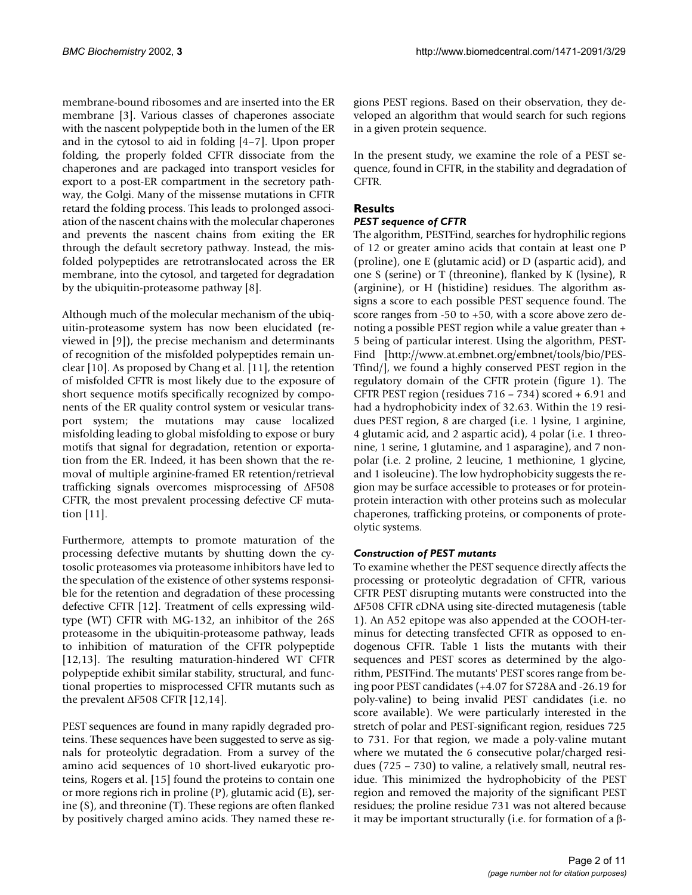membrane-bound ribosomes and are inserted into the ER [membrane \[3\]. Various classes of chaperones associate](http://www.at.embnet.org/embnet/tools/bio/PESTfind/) with the nascent polypeptide both in the lumen of the ER and in the cytosol to aid in folding [4–7]. Upon proper folding, the properly folded CFTR dissociate from the chaperones and are packaged into transport vesicles for export to a post-ER compartment in the secretory pathway, the Golgi. Many of the missense mutations in CFTR retard the folding process. This leads to prolonged association of the nascent chains with the molecular chaperones and prevents the nascent chains from exiting the ER through the default secretory pathway. Instead, the misfolded polypeptides are retrotranslocated across the ER membrane, into the cytosol, and targeted for degradation by the ubiquitin-proteasome pathway [8].

Although much of the molecular mechanism of the ubiquitin-proteasome system has now been elucidated (reviewed in [9]), the precise mechanism and determinants of recognition of the misfolded polypeptides remain unclear [10]. As proposed by Chang et al. [11], the retention of misfolded CFTR is most likely due to the exposure of short sequence motifs specifically recognized by components of the ER quality control system or vesicular transport system; the mutations may cause localized misfolding leading to global misfolding to expose or bury motifs that signal for degradation, retention or exportation from the ER. Indeed, it has been shown that the removal of multiple arginine-framed ER retention/retrieval trafficking signals overcomes misprocessing of ∆F508 CFTR, the most prevalent processing defective CF mutation [11].

Furthermore, attempts to promote maturation of the processing defective mutants by shutting down the cytosolic proteasomes via proteasome inhibitors have led to the speculation of the existence of other systems responsible for the retention and degradation of these processing defective CFTR [12]. Treatment of cells expressing wildtype (WT) CFTR with MG-132, an inhibitor of the 26S proteasome in the ubiquitin-proteasome pathway, leads to inhibition of maturation of the CFTR polypeptide [12,13]. The resulting maturation-hindered WT CFTR polypeptide exhibit similar stability, structural, and functional properties to misprocessed CFTR mutants such as the prevalent ∆F508 CFTR [12,14].

PEST sequences are found in many rapidly degraded proteins. These sequences have been suggested to serve as signals for proteolytic degradation. From a survey of the amino acid sequences of 10 short-lived eukaryotic proteins, Rogers et al. [15] found the proteins to contain one or more regions rich in proline (P), glutamic acid (E), serine (S), and threonine (T). These regions are often flanked by positively charged amino acids. They named these regions PEST regions. Based on their observation, they developed an algorithm that would search for such regions in a given protein sequence.

In the present study, we examine the role of a PEST sequence, found in CFTR, in the stability and degradation of CFTR.

## **Results**

## *PEST sequence of CFTR*

The algorithm, PESTFind, searches for hydrophilic regions [of 12 or greater amino acids that contain at least one P](http://www.at.embnet.org/embnet/tools/bio/PESTfind/) (proline), one E (glutamic acid) or D (aspartic acid), and one S (serine) or T (threonine), flanked by K (lysine), R (arginine), or H (histidine) residues. The algorithm assigns a score to each possible PEST sequence found. The score ranges from -50 to +50, with a score above zero denoting a possible PEST region while a value greater than + 5 being of particular interest. Using the algorithm, PEST-Find [http://www.at.embnet.org/embnet/tools/bio/PES-Tfind/], we found a highly conserved PEST region in the regulatory domain of the CFTR protein (figure [1\)](#page-2-0). The CFTR PEST region (residues 716 – 734) scored + 6.91 and had a hydrophobicity index of 32.63. Within the 19 residues PEST region, 8 are charged (i.e. 1 lysine, 1 arginine, 4 glutamic acid, and 2 aspartic acid), 4 polar (i.e. 1 threonine, 1 serine, 1 glutamine, and 1 asparagine), and 7 nonpolar (i.e. 2 proline, 2 leucine, 1 methionine, 1 glycine, and 1 isoleucine). The low hydrophobicity suggests the region may be surface accessible to proteases or for proteinprotein interaction with other proteins such as molecular chaperones, trafficking proteins, or components of proteolytic systems.

## *Construction of PEST mutants*

To examine whether the PEST sequence directly affects the processing or proteolytic degradation of CFTR, various CFTR PEST disrupting mutants were constructed into the ∆F508 CFTR cDNA using site-directed mutagenesis (table 1). An A52 epitope was also appended at the COOH-terminus for detecting transfected CFTR as opposed to endogenous CFTR. Table 1 lists the mutants with their sequences and PEST scores as determined by the algorithm, PESTFind. The mutants' PEST scores range from being poor PEST candidates (+4.07 for S728A and -26.19 for poly-valine) to being invalid PEST candidates (i.e. no score available). We were particularly interested in the stretch of polar and PEST-significant region, residues 725 to 731. For that region, we made a poly-valine mutant where we mutated the 6 consecutive polar/charged residues (725 – 730) to valine, a relatively small, neutral residue. This minimized the hydrophobicity of the PEST region and removed the majority of the significant PEST residues; the proline residue 731 was not altered because it may be important structurally (i.e. for formation of a β-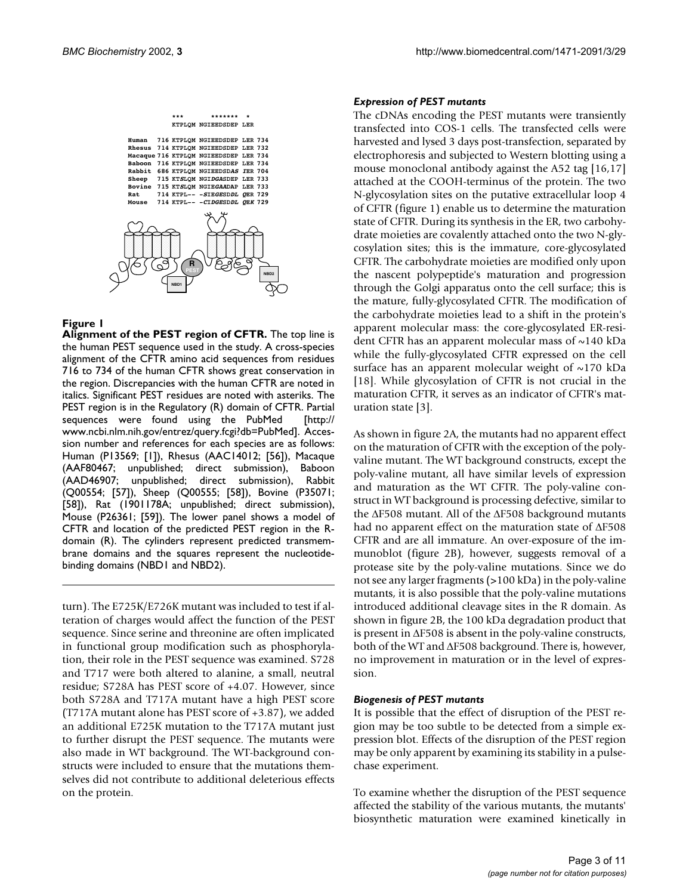

<span id="page-2-0"></span>**Alignment of the PEST region of CFTR.** [The top line is](http://www.ncbi.nlm.nih.gov/entrez/query.fcgi?db=PubMed) [the human PEST sequence used in the study. A cross-species](http://www.ncbi.nlm.nih.gov/entrez/query.fcgi?db=PubMed) alignment of the CFTR amino acid sequences from residues 716 to 734 of the human CFTR shows great conservation in the region. Discrepancies with the human CFTR are noted in italics. Significant PEST residues are noted with asteriks. The PEST region is in the Regulatory (R) domain of CFTR. Partial sequences were found using the PubMed [http:// www.ncbi.nlm.nih.gov/entrez/query.fcgi?db=PubMed]. Accession number and references for each species are as follows: Human (P13569; [1]), Rhesus (AAC14012; [56]), Macaque (AAF80467; unpublished; direct submission), Baboon (AAD46907; unpublished; direct submission), Rabbit (Q00554; [57]), Sheep (Q00555; [58]), Bovine (P35071; [58]), Rat (1901178A; unpublished; direct submission), Mouse (P26361; [59]). The lower panel shows a model of CFTR and location of the predicted PEST region in the Rdomain (R). The cylinders represent predicted transmembrane domains and the squares represent the nucleotidebinding domains (NBD1 and NBD2).

turn). The E725K/E726K mutant was included to test if alteration of charges would affect the function of the PEST sequence. Since serine and threonine are often implicated in functional group modification such as phosphorylation, their role in the PEST sequence was examined. S728 and T717 were both altered to alanine, a small, neutral residue; S728A has PEST score of +4.07. However, since both S728A and T717A mutant have a high PEST score (T717A mutant alone has PEST score of +3.87), we added an additional E725K mutation to the T717A mutant just to further disrupt the PEST sequence. The mutants were also made in WT background. The WT-background constructs were included to ensure that the mutations themselves did not contribute to additional deleterious effects on the protein.

#### *Expression of PEST mutants*

The cDNAs encoding the PEST mutants were transiently transfected into COS-1 cells. The transfected cells were harvested and lysed 3 days post-transfection, separated by electrophoresis and subjected to Western blotting using a mouse monoclonal antibody against the A52 tag [16,17] attached at the COOH-terminus of the protein. The two N-glycosylation sites on the putative extracellular loop 4 of CFTR (figure [1](#page-2-0)) enable us to determine the maturation state of CFTR. During its synthesis in the ER, two carbohydrate moieties are covalently attached onto the two N-glycosylation sites; this is the immature, core-glycosylated CFTR. The carbohydrate moieties are modified only upon the nascent polypeptide's maturation and progression through the Golgi apparatus onto the cell surface; this is the mature, fully-glycosylated CFTR. The modification of the carbohydrate moieties lead to a shift in the protein's apparent molecular mass: the core-glycosylated ER-resident CFTR has an apparent molecular mass of ~140 kDa while the fully-glycosylated CFTR expressed on the cell surface has an apparent molecular weight of ~170 kDa [18]. While glycosylation of CFTR is not crucial in the maturation CFTR, it serves as an indicator of CFTR's maturation state [3].

As shown in figure [2A](#page-4-0), the mutants had no apparent effect on the maturation of CFTR with the exception of the polyvaline mutant. The WT background constructs, except the poly-valine mutant, all have similar levels of expression and maturation as the WT CFTR. The poly-valine construct in WT background is processing defective, similar to the ∆F508 mutant. All of the ∆F508 background mutants had no apparent effect on the maturation state of ∆F508 CFTR and are all immature. An over-exposure of the immunoblot (figure [2B](#page-4-0)), however, suggests removal of a protease site by the poly-valine mutations. Since we do not see any larger fragments (>100 kDa) in the poly-valine mutants, it is also possible that the poly-valine mutations introduced additional cleavage sites in the R domain. As shown in figure [2B](#page-4-0), the 100 kDa degradation product that is present in ∆F508 is absent in the poly-valine constructs, both of the WT and ∆F508 background. There is, however, no improvement in maturation or in the level of expression.

#### *Biogenesis of PEST mutants*

It is possible that the effect of disruption of the PEST region may be too subtle to be detected from a simple expression blot. Effects of the disruption of the PEST region may be only apparent by examining its stability in a pulsechase experiment.

To examine whether the disruption of the PEST sequence affected the stability of the various mutants, the mutants' biosynthetic maturation were examined kinetically in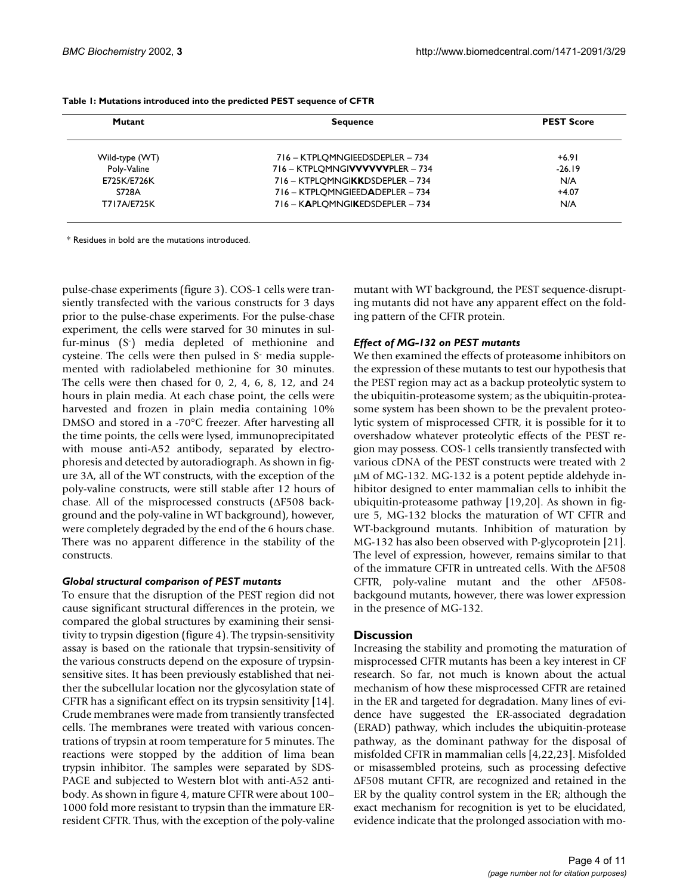| <b>Mutant</b>  | <b>Sequence</b>                 | <b>PEST Score</b> |
|----------------|---------------------------------|-------------------|
| Wild-type (WT) | 716 - KTPLOMNGIEEDSDEPLER - 734 | $+6.91$           |
| Poly-Valine    | 716 - KTPLQMNGIVVVVVVPLER - 734 | $-26.19$          |
| E725K/E726K    | 716 - KTPLOMNGIKKDSDEPLER - 734 | N/A               |
| S728A          | 716 - KTPLOMNGIEEDADEPLER - 734 | $+4.07$           |
| T717A/E725K    | 716 - KAPLOMNGIKEDSDEPLER - 734 | N/A               |

\* Residues in bold are the mutations introduced.

pulse-chase experiments (figure 3). COS-1 cells were transiently transfected with the various constructs for 3 days prior to the pulse-chase experiments. For the pulse-chase experiment, the cells were starved for 30 minutes in sulfur-minus (S- ) media depleted of methionine and cysteine. The cells were then pulsed in S- media supplemented with radiolabeled methionine for 30 minutes. The cells were then chased for 0, 2, 4, 6, 8, 12, and 24 hours in plain media. At each chase point, the cells were harvested and frozen in plain media containing 10% DMSO and stored in a -70°C freezer. After harvesting all the time points, the cells were lysed, immunoprecipitated with mouse anti-A52 antibody, separated by electrophoresis and detected by autoradiograph. As shown in figure 3A, all of the WT constructs, with the exception of the poly-valine constructs, were still stable after 12 hours of chase. All of the misprocessed constructs (∆F508 background and the poly-valine in WT background), however, were completely degraded by the end of the 6 hours chase. There was no apparent difference in the stability of the constructs.

#### *Global structural comparison of PEST mutants*

To ensure that the disruption of the PEST region did not cause significant structural differences in the protein, we compared the global structures by examining their sensitivity to trypsin digestion (figure [4](#page-6-0)). The trypsin-sensitivity assay is based on the rationale that trypsin-sensitivity of the various constructs depend on the exposure of trypsinsensitive sites. It has been previously established that neither the subcellular location nor the glycosylation state of CFTR has a significant effect on its trypsin sensitivity [14]. Crude membranes were made from transiently transfected cells. The membranes were treated with various concentrations of trypsin at room temperature for 5 minutes. The reactions were stopped by the addition of lima bean trypsin inhibitor. The samples were separated by SDS-PAGE and subjected to Western blot with anti-A52 antibody. As shown in figure [4](#page-6-0), mature CFTR were about 100– 1000 fold more resistant to trypsin than the immature ERresident CFTR. Thus, with the exception of the poly-valine mutant with WT background, the PEST sequence-disrupting mutants did not have any apparent effect on the folding pattern of the CFTR protein.

#### *Effect of MG-132 on PEST mutants*

We then examined the effects of proteasome inhibitors on the expression of these mutants to test our hypothesis that the PEST region may act as a backup proteolytic system to the ubiquitin-proteasome system; as the ubiquitin-proteasome system has been shown to be the prevalent proteolytic system of misprocessed CFTR, it is possible for it to overshadow whatever proteolytic effects of the PEST region may possess. COS-1 cells transiently transfected with various cDNA of the PEST constructs were treated with 2 µM of MG-132. MG-132 is a potent peptide aldehyde inhibitor designed to enter mammalian cells to inhibit the ubiquitin-proteasome pathway [19,20]. As shown in figure 5, MG-132 blocks the maturation of WT CFTR and WT-background mutants. Inhibition of maturation by MG-132 has also been observed with P-glycoprotein [21]. The level of expression, however, remains similar to that of the immature CFTR in untreated cells. With the ∆F508 CFTR, poly-valine mutant and the other ∆F508 backgound mutants, however, there was lower expression in the presence of MG-132.

#### **Discussion**

Increasing the stability and promoting the maturation of misprocessed CFTR mutants has been a key interest in CF research. So far, not much is known about the actual mechanism of how these misprocessed CFTR are retained in the ER and targeted for degradation. Many lines of evidence have suggested the ER-associated degradation (ERAD) pathway, which includes the ubiquitin-protease pathway, as the dominant pathway for the disposal of misfolded CFTR in mammalian cells [4,22,23]. Misfolded or misassembled proteins, such as processing defective ∆F508 mutant CFTR, are recognized and retained in the ER by the quality control system in the ER; although the exact mechanism for recognition is yet to be elucidated, evidence indicate that the prolonged association with mo-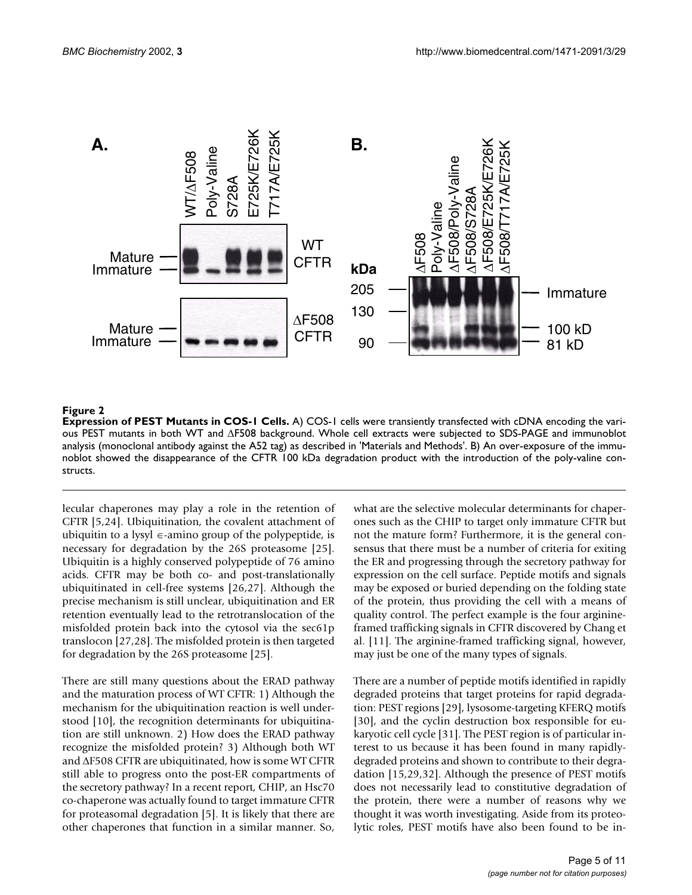

<span id="page-4-0"></span>**Expression of PEST Mutants in COS-1 Cells.** A) COS-1 cells were transiently transfected with cDNA encoding the various PEST mutants in both WT and ∆F508 background. Whole cell extracts were subjected to SDS-PAGE and immunoblot analysis (monoclonal antibody against the A52 tag) as described in 'Materials and Methods'. B) An over-exposure of the immunoblot showed the disappearance of the CFTR 100 kDa degradation product with the introduction of the poly-valine constructs.

lecular chaperones may play a role in the retention of CFTR [5,24]. Ubiquitination, the covalent attachment of ubiquitin to a lysyl  $\in$ -amino group of the polypeptide, is necessary for degradation by the 26S proteasome [25]. Ubiquitin is a highly conserved polypeptide of 76 amino acids. CFTR may be both co- and post-translationally ubiquitinated in cell-free systems [26,27]. Although the precise mechanism is still unclear, ubiquitination and ER retention eventually lead to the retrotranslocation of the misfolded protein back into the cytosol via the sec61p translocon [27,28]. The misfolded protein is then targeted for degradation by the 26S proteasome [25].

There are still many questions about the ERAD pathway and the maturation process of WT CFTR: 1) Although the mechanism for the ubiquitination reaction is well understood [10], the recognition determinants for ubiquitination are still unknown. 2) How does the ERAD pathway recognize the misfolded protein? 3) Although both WT and ∆F508 CFTR are ubiquitinated, how is some WT CFTR still able to progress onto the post-ER compartments of the secretory pathway? In a recent report, CHIP, an Hsc70 co-chaperone was actually found to target immature CFTR for proteasomal degradation [5]. It is likely that there are other chaperones that function in a similar manner. So,

what are the selective molecular determinants for chaperones such as the CHIP to target only immature CFTR but not the mature form? Furthermore, it is the general consensus that there must be a number of criteria for exiting the ER and progressing through the secretory pathway for expression on the cell surface. Peptide motifs and signals may be exposed or buried depending on the folding state of the protein, thus providing the cell with a means of quality control. The perfect example is the four arginineframed trafficking signals in CFTR discovered by Chang et al. [11]. The arginine-framed trafficking signal, however, may just be one of the many types of signals.

There are a number of peptide motifs identified in rapidly degraded proteins that target proteins for rapid degradation: PEST regions [29], lysosome-targeting KFERQ motifs [30], and the cyclin destruction box responsible for eukaryotic cell cycle [31]. The PEST region is of particular interest to us because it has been found in many rapidlydegraded proteins and shown to contribute to their degradation [15,29,32]. Although the presence of PEST motifs does not necessarily lead to constitutive degradation of the protein, there were a number of reasons why we thought it was worth investigating. Aside from its proteolytic roles, PEST motifs have also been found to be in-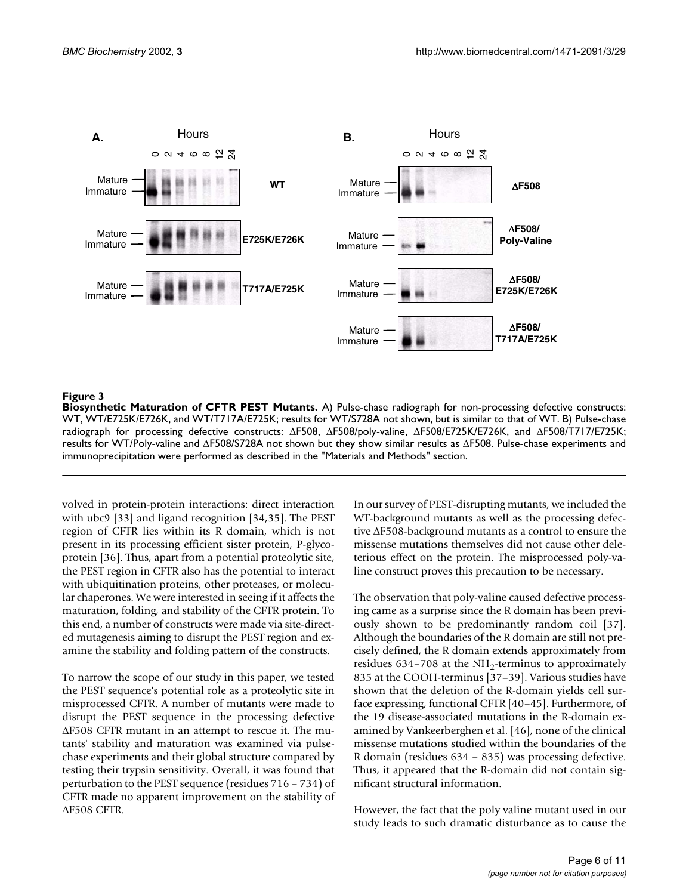

**Biosynthetic Maturation of CFTR PEST Mutants.** A) Pulse-chase radiograph for non-processing defective constructs: WT, WT/E725K/E726K, and WT/T717A/E725K; results for WT/S728A not shown, but is similar to that of WT. B) Pulse-chase radiograph for processing defective constructs: ∆F508, ∆F508/poly-valine, ∆F508/E725K/E726K, and ∆F508/T717/E725K; results for WT/Poly-valine and ∆F508/S728A not shown but they show similar results as ∆F508. Pulse-chase experiments and immunoprecipitation were performed as described in the "Materials and Methods" section.

volved in protein-protein interactions: direct interaction with ubc9 [33] and ligand recognition [34,35]. The PEST region of CFTR lies within its R domain, which is not present in its processing efficient sister protein, P-glycoprotein [36]. Thus, apart from a potential proteolytic site, the PEST region in CFTR also has the potential to interact with ubiquitination proteins, other proteases, or molecular chaperones. We were interested in seeing if it affects the maturation, folding, and stability of the CFTR protein. To this end, a number of constructs were made via site-directed mutagenesis aiming to disrupt the PEST region and examine the stability and folding pattern of the constructs.

To narrow the scope of our study in this paper, we tested the PEST sequence's potential role as a proteolytic site in misprocessed CFTR. A number of mutants were made to disrupt the PEST sequence in the processing defective ∆F508 CFTR mutant in an attempt to rescue it. The mutants' stability and maturation was examined via pulsechase experiments and their global structure compared by testing their trypsin sensitivity. Overall, it was found that perturbation to the PEST sequence (residues 716 – 734) of CFTR made no apparent improvement on the stability of ∆F508 CFTR.

In our survey of PEST-disrupting mutants, we included the WT-background mutants as well as the processing defective ∆F508-background mutants as a control to ensure the missense mutations themselves did not cause other deleterious effect on the protein. The misprocessed poly-valine construct proves this precaution to be necessary.

The observation that poly-valine caused defective processing came as a surprise since the R domain has been previously shown to be predominantly random coil [37]. Although the boundaries of the R domain are still not precisely defined, the R domain extends approximately from residues  $634-708$  at the NH<sub>2</sub>-terminus to approximately 835 at the COOH-terminus [37–39]. Various studies have shown that the deletion of the R-domain yields cell surface expressing, functional CFTR [40–45]. Furthermore, of the 19 disease-associated mutations in the R-domain examined by Vankeerberghen et al. [46], none of the clinical missense mutations studied within the boundaries of the R domain (residues 634 – 835) was processing defective. Thus, it appeared that the R-domain did not contain significant structural information.

[However, the fact that the poly valine mutant used in our](http://www.cmpharm.ucsf.edu/~nomi/nnpredict) [study leads to such dramatic disturbance as to cause the](http://www.cmpharm.ucsf.edu/~nomi/nnpredict)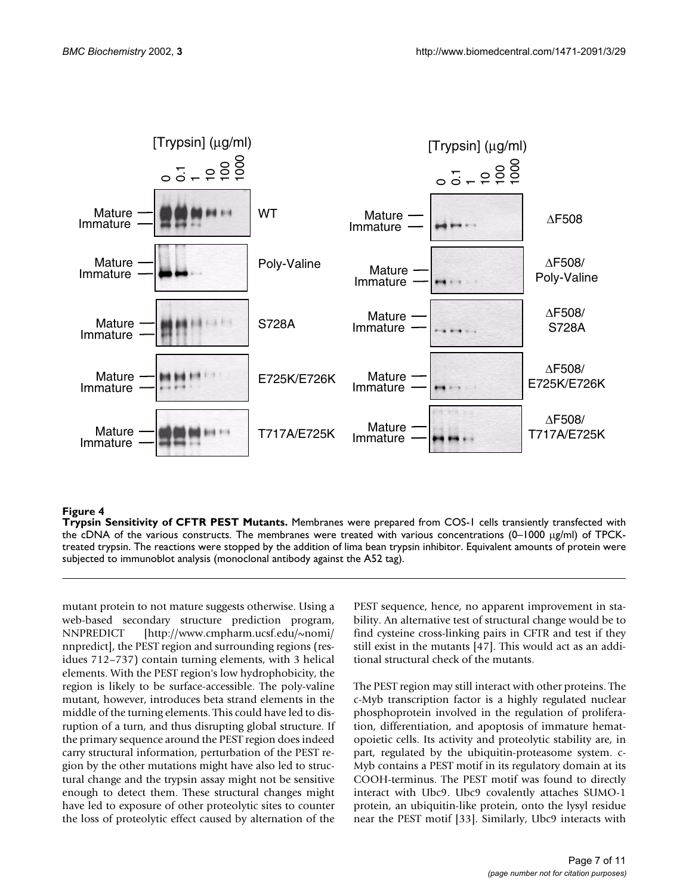

<span id="page-6-0"></span>**Trypsin Sensitivity of CFTR PEST Mutants.** Membranes were prepared from COS-1 cells transiently transfected with the cDNA of the various constructs. The membranes were treated with various concentrations (0–1000 µg/ml) of TPCKtreated trypsin. The reactions were stopped by the addition of lima bean trypsin inhibitor. Equivalent amounts of protein were subjected to immunoblot analysis (monoclonal antibody against the A52 tag).

mutant protein to not mature suggests otherwise. Using a web-based secondary structure prediction program, NNPREDICT [http://www.cmpharm.ucsf.edu/~nomi/ nnpredict], the PEST region and surrounding regions (residues 712–737) contain turning elements, with 3 helical elements. With the PEST region's low hydrophobicity, the region is likely to be surface-accessible. The poly-valine mutant, however, introduces beta strand elements in the middle of the turning elements. This could have led to disruption of a turn, and thus disrupting global structure. If the primary sequence around the PEST region does indeed carry structural information, perturbation of the PEST region by the other mutations might have also led to structural change and the trypsin assay might not be sensitive enough to detect them. These structural changes might have led to exposure of other proteolytic sites to counter [the loss of proteolytic effect caused by alternation of the](http://www.cmpharm.ucsf.edu/~nomi/nnpredict) PEST sequence, hence, no apparent improvement in sta[bility. An alternative test of structural change would be to](http://www.cmpharm.ucsf.edu/~nomi/nnpredict) find cysteine cross-linking pairs in CFTR and test if they still exist in the mutants [47]. This would act as an additional structural check of the mutants.

The PEST region may still interact with other proteins. The c-Myb transcription factor is a highly regulated nuclear phosphoprotein involved in the regulation of proliferation, differentiation, and apoptosis of immature hematopoietic cells. Its activity and proteolytic stability are, in part, regulated by the ubiquitin-proteasome system. c-Myb contains a PEST motif in its regulatory domain at its COOH-terminus. The PEST motif was found to directly interact with Ubc9. Ubc9 covalently attaches SUMO-1 protein, an ubiquitin-like protein, onto the lysyl residue near the PEST motif [33]. Similarly, Ubc9 interacts with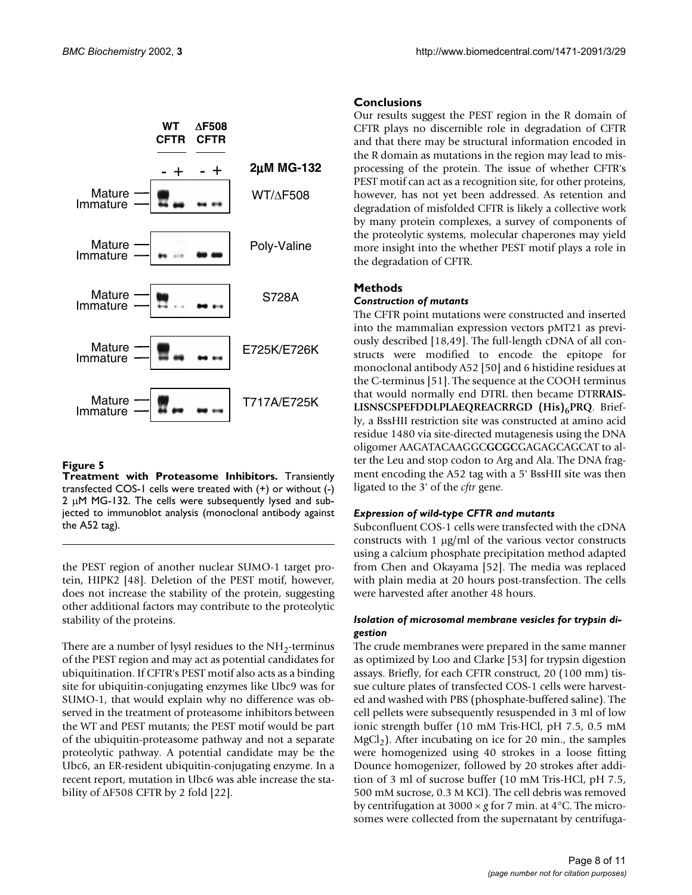

**Treatment with Proteasome Inhibitors.** Transiently transfected COS-1 cells were treated with (+) or without (-)  $2 \mu$ M MG-132. The cells were subsequently lysed and subjected to immunoblot analysis (monoclonal antibody against the A52 tag).

the PEST region of another nuclear SUMO-1 target protein, HIPK2 [48]. Deletion of the PEST motif, however, does not increase the stability of the protein, suggesting other additional factors may contribute to the proteolytic stability of the proteins.

There are a number of lysyl residues to the  $NH<sub>2</sub>$ -terminus of the PEST region and may act as potential candidates for ubiquitination. If CFTR's PEST motif also acts as a binding site for ubiquitin-conjugating enzymes like Ubc9 was for SUMO-1, that would explain why no difference was observed in the treatment of proteasome inhibitors between the WT and PEST mutants; the PEST motif would be part of the ubiquitin-proteasome pathway and not a separate proteolytic pathway. A potential candidate may be the Ubc6, an ER-resident ubiquitin-conjugating enzyme. In a recent report, mutation in Ubc6 was able increase the stability of ∆F508 CFTR by 2 fold [22].

## **Conclusions**

Our results suggest the PEST region in the R domain of CFTR plays no discernible role in degradation of CFTR and that there may be structural information encoded in the R domain as mutations in the region may lead to misprocessing of the protein. The issue of whether CFTR's PEST motif can act as a recognition site, for other proteins, however, has not yet been addressed. As retention and degradation of misfolded CFTR is likely a collective work by many protein complexes, a survey of components of the proteolytic systems, molecular chaperones may yield more insight into the whether PEST motif plays a role in the degradation of CFTR.

## **Methods**

#### *Construction of mutants*

The CFTR point mutations were constructed and inserted into the mammalian expression vectors pMT21 as previously described [18,49]. The full-length cDNA of all constructs were modified to encode the epitope for monoclonal antibody A52 [50] and 6 histidine residues at the C-terminus [51]. The sequence at the COOH terminus that would normally end DTRL then became DTR**RAIS-LISNSCSPEFDDLPLAEQREACRRGD** (His)<sub>6</sub>PRQ. Briefly, a BssHII restriction site was constructed at amino acid residue 1480 via site-directed mutagenesis using the DNA oligomer AAGATACAAGGC**GCGC**GAGAGCAGCAT to alter the Leu and stop codon to Arg and Ala. The DNA fragment encoding the A52 tag with a 5' BssHII site was then ligated to the 3' of the *cftr* gene.

#### *Expression of wild-type CFTR and mutants*

Subconfluent COS-1 cells were transfected with the cDNA constructs with  $1 \mu g/ml$  of the various vector constructs using a calcium phosphate precipitation method adapted from Chen and Okayama [52]. The media was replaced with plain media at 20 hours post-transfection. The cells were harvested after another 48 hours.

#### *Isolation of microsomal membrane vesicles for trypsin digestion*

The crude membranes were prepared in the same manner as optimized by Loo and Clarke [53] for trypsin digestion assays. Briefly, for each CFTR construct, 20 (100 mm) tissue culture plates of transfected COS-1 cells were harvested and washed with PBS (phosphate-buffered saline). The cell pellets were subsequently resuspended in 3 ml of low ionic strength buffer (10 mM Tris-HCl, pH 7.5, 0.5 mM  $MgCl<sub>2</sub>$ ). After incubating on ice for 20 min., the samples were homogenized using 40 strokes in a loose fitting Dounce homogenizer, followed by 20 strokes after addition of 3 ml of sucrose buffer (10 mM Tris-HCl, pH 7.5, 500 mM sucrose, 0.3 M KCl). The cell debris was removed by centrifugation at  $3000 \times g$  for 7 min. at  $4^{\circ}$ C. The microsomes were collected from the supernatant by centrifuga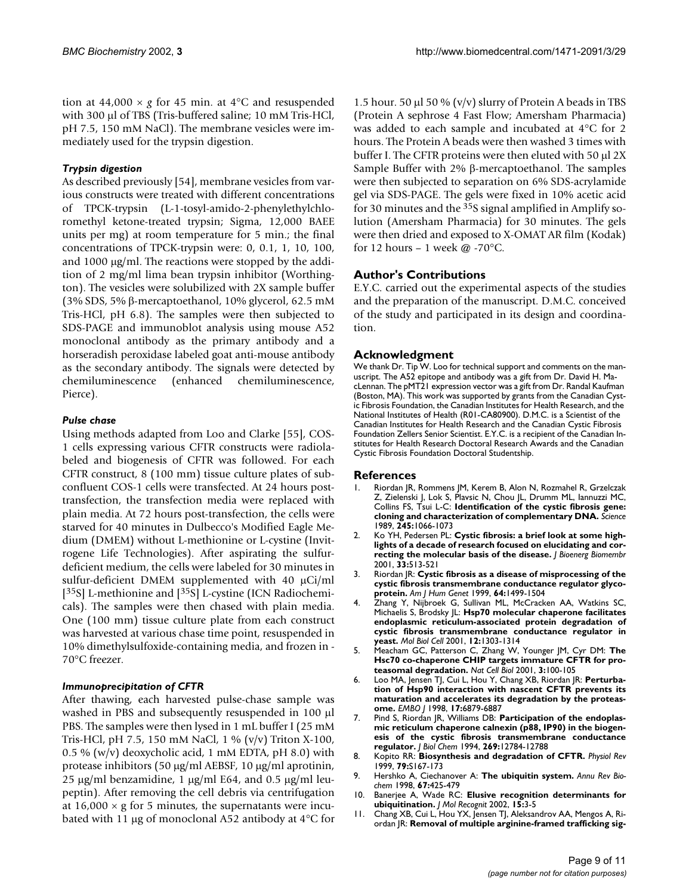tion at 44,000  $\times$  *g* for 45 min. at 4<sup>o</sup>C and resuspended with 300 µl of TBS (Tris-buffered saline; 10 mM Tris-HCl, pH 7.5, 150 mM NaCl). The membrane vesicles were immediately used for the trypsin digestion.

## *Trypsin digestion*

As described previously [54], membrane vesicles from various constructs were treated with different concentrations of TPCK-trypsin (L-1-tosyl-amido-2-phenylethylchloromethyl ketone-treated trypsin; Sigma, 12,000 BAEE units per mg) at room temperature for 5 min.; the final concentrations of TPCK-trypsin were: 0, 0.1, 1, 10, 100, and 1000 µg/ml. The reactions were stopped by the addition of 2 mg/ml lima bean trypsin inhibitor (Worthington). The vesicles were solubilized with 2X sample buffer (3% SDS, 5% β-mercaptoethanol, 10% glycerol, 62.5 mM Tris-HCl, pH 6.8). The samples were then subjected to SDS-PAGE and immunoblot analysis using mouse A52 monoclonal antibody as the primary antibody and a horseradish peroxidase labeled goat anti-mouse antibody as the secondary antibody. The signals were detected by chemiluminescence (enhanced chemiluminescence, Pierce).

## *Pulse chase*

Using methods adapted from Loo and Clarke [55], COS-1 cells expressing various CFTR constructs were radiolabeled and biogenesis of CFTR was followed. For each CFTR construct, 8 (100 mm) tissue culture plates of subconfluent COS-1 cells were transfected. At 24 hours posttransfection, the transfection media were replaced with plain media. At 72 hours post-transfection, the cells were starved for 40 minutes in Dulbecco's Modified Eagle Medium (DMEM) without L-methionine or L-cystine (Invitrogene Life Technologies). After aspirating the sulfurdeficient medium, the cells were labeled for 30 minutes in sulfur-deficient DMEM supplemented with 40  $\mu$ Ci/ml [35S] L-methionine and [35S] L-cystine (ICN Radiochemicals). The samples were then chased with plain media. One (100 mm) tissue culture plate from each construct was harvested at various chase time point, resuspended in 10% dimethylsulfoxide-containing media, and frozen in - 70°C freezer.

## *Immunoprecipitation of CFTR*

After thawing, each harvested pulse-chase sample was washed in PBS and subsequently resuspended in 100 µl PBS. The samples were then lysed in 1 mL buffer I (25 mM Tris-HCl, pH 7.5, 150 mM NaCl, 1 % (v/v) Triton X-100, 0.5 % (w/v) deoxycholic acid, 1 mM EDTA, pH 8.0) with protease inhibitors (50 µg/ml AEBSF, 10 µg/ml aprotinin, 25  $\mu$ g/ml benzamidine, 1  $\mu$ g/ml E64, and 0.5  $\mu$ g/ml leupeptin). After removing the cell debris via centrifugation at  $16,000 \times g$  for 5 minutes, the supernatants were incubated with 11 µg of monoclonal A52 antibody at 4°C for

1.5 hour. 50  $\mu$ l 50 % (v/v) slurry of Protein A beads in TBS (Protein A sephrose 4 Fast Flow; Amersham Pharmacia) was added to each sample and incubated at 4°C for 2 hours. The Protein A beads were then washed 3 times with buffer I. The CFTR proteins were then eluted with 50 µl 2X Sample Buffer with 2% β-mercaptoethanol. The samples were then subjected to separation on 6% SDS-acrylamide gel via SDS-PAGE. The gels were fixed in 10% acetic acid for 30 minutes and the 35S signal amplified in Amplify solution (Amersham Pharmacia) for 30 minutes. The gels were then dried and exposed to X-OMAT AR film (Kodak) for 12 hours – 1 week  $@$  -70°C.

## **Author's Contributions**

E.Y.C. carried out the experimental aspects of the studies and the preparation of the manuscript. D.M.C. conceived of the study and participated in its design and coordination.

## **Acknowledgment**

We thank Dr. Tip W. Loo for technical support and comments on the manuscript. The A52 epitope and antibody was a gift from Dr. David H. MacLennan. The pMT21 expression vector was a gift from Dr. Randal Kaufman (Boston, MA). This work was supported by grants from the Canadian Cystic Fibrosis Foundation, the Canadian Institutes for Health Research, and the National Institutes of Health (R01-CA80900). D.M.C. is a Scientist of the Canadian Institutes for Health Research and the Canadian Cystic Fibrosis Foundation Zellers Senior Scientist. E.Y.C. is a recipient of the Canadian Institutes for Health Research Doctoral Research Awards and the Canadian Cystic Fibrosis Foundation Doctoral Studentship.

## **References**

- 1. [Riordan JR, Rommens JM, Kerem B, Alon N, Rozmahel R, Grzelczak](http://www.ncbi.nlm.nih.gov/entrez/query.fcgi?cmd=Retrieve&db=PubMed&dopt=Abstract&list_uids=2475911) [Z, Zielenski J, Lok S, Plavsic N, Chou JL, Drumm ML, Iannuzzi MC,](http://www.ncbi.nlm.nih.gov/entrez/query.fcgi?cmd=Retrieve&db=PubMed&dopt=Abstract&list_uids=2475911) [Collins FS, Tsui L-C:](http://www.ncbi.nlm.nih.gov/entrez/query.fcgi?cmd=Retrieve&db=PubMed&dopt=Abstract&list_uids=2475911) **[Identification of the cystic fibrosis gene:](http://www.ncbi.nlm.nih.gov/entrez/query.fcgi?cmd=Retrieve&db=PubMed&dopt=Abstract&list_uids=2475911) [cloning and characterization of complementary DNA.](http://www.ncbi.nlm.nih.gov/entrez/query.fcgi?cmd=Retrieve&db=PubMed&dopt=Abstract&list_uids=2475911)** *Science* 1989, **245:**1066-1073
- 2. [Ko YH, Pedersen PL:](http://www.ncbi.nlm.nih.gov/entrez/query.fcgi?cmd=Retrieve&db=PubMed&dopt=Abstract&list_uids=11804193) **[Cystic fibrosis: a brief look at some high](http://www.ncbi.nlm.nih.gov/entrez/query.fcgi?cmd=Retrieve&db=PubMed&dopt=Abstract&list_uids=10.1023/A:1012831322753)[lights of a decade of research focused on elucidating and cor](http://www.ncbi.nlm.nih.gov/entrez/query.fcgi?cmd=Retrieve&db=PubMed&dopt=Abstract&list_uids=10.1023/A:1012831322753)[recting the molecular basis of the disease.](http://www.ncbi.nlm.nih.gov/entrez/query.fcgi?cmd=Retrieve&db=PubMed&dopt=Abstract&list_uids=10.1023/A:1012831322753)** *J Bioenerg Biomembr* 2001, **33:**513-521
- 3. [Riordan JR:](http://www.ncbi.nlm.nih.gov/entrez/query.fcgi?cmd=Retrieve&db=PubMed&dopt=Abstract&list_uids=10330337) **[Cystic fibrosis as a disease of misprocessing of the](http://www.ncbi.nlm.nih.gov/entrez/query.fcgi?cmd=Retrieve&db=PubMed&dopt=Abstract&list_uids=10.1086/302429) [cystic fibrosis transmembrane conductance regulator glyco](http://www.ncbi.nlm.nih.gov/entrez/query.fcgi?cmd=Retrieve&db=PubMed&dopt=Abstract&list_uids=10.1086/302429)[protein.](http://www.ncbi.nlm.nih.gov/entrez/query.fcgi?cmd=Retrieve&db=PubMed&dopt=Abstract&list_uids=10.1086/302429)** *Am J Hum Genet* 1999, **64:**1499-1504
- 4. [Zhang Y, Nijbroek G, Sullivan ML, McCracken AA, Watkins SC,](http://www.ncbi.nlm.nih.gov/entrez/query.fcgi?cmd=Retrieve&db=PubMed&dopt=Abstract&list_uids=11359923) [Michaelis S, Brodsky JL:](http://www.ncbi.nlm.nih.gov/entrez/query.fcgi?cmd=Retrieve&db=PubMed&dopt=Abstract&list_uids=11359923) **[Hsp70 molecular chaperone facilitates](http://www.ncbi.nlm.nih.gov/entrez/query.fcgi?cmd=Retrieve&db=PubMed&dopt=Abstract&list_uids=34585) [endoplasmic reticulum-associated protein degradation of](http://www.ncbi.nlm.nih.gov/entrez/query.fcgi?cmd=Retrieve&db=PubMed&dopt=Abstract&list_uids=34585) cystic fibrosis transmembrane conductance regulator in [yeast.](http://www.ncbi.nlm.nih.gov/entrez/query.fcgi?cmd=Retrieve&db=PubMed&dopt=Abstract&list_uids=34585)** *Mol Biol Cell* 2001, **12:**1303-1314
- 5. [Meacham GC, Patterson C, Zhang W, Younger JM, Cyr DM:](http://www.ncbi.nlm.nih.gov/entrez/query.fcgi?cmd=Retrieve&db=PubMed&dopt=Abstract&list_uids=11146634) **[The](http://www.ncbi.nlm.nih.gov/entrez/query.fcgi?cmd=Retrieve&db=PubMed&dopt=Abstract&list_uids=10.1038/35050509) [Hsc70 co-chaperone CHIP targets immature CFTR for pro](http://www.ncbi.nlm.nih.gov/entrez/query.fcgi?cmd=Retrieve&db=PubMed&dopt=Abstract&list_uids=10.1038/35050509)[teasomal degradation.](http://www.ncbi.nlm.nih.gov/entrez/query.fcgi?cmd=Retrieve&db=PubMed&dopt=Abstract&list_uids=10.1038/35050509)** *Nat Cell Biol* 2001, **3:**100-105
- 6. [Loo MA, Jensen TJ, Cui L, Hou Y, Chang XB, Riordan JR:](http://www.ncbi.nlm.nih.gov/entrez/query.fcgi?cmd=Retrieve&db=PubMed&dopt=Abstract&list_uids=9843494) **[Perturba](http://www.ncbi.nlm.nih.gov/entrez/query.fcgi?cmd=Retrieve&db=PubMed&dopt=Abstract&list_uids=10.1093/emboj/17.23.6879)tion of Hsp90 interaction with nascent CFTR prevents its [maturation and accelerates its degradation by the proteas](http://www.ncbi.nlm.nih.gov/entrez/query.fcgi?cmd=Retrieve&db=PubMed&dopt=Abstract&list_uids=10.1093/emboj/17.23.6879)[ome.](http://www.ncbi.nlm.nih.gov/entrez/query.fcgi?cmd=Retrieve&db=PubMed&dopt=Abstract&list_uids=10.1093/emboj/17.23.6879)** *EMBO J* 1998, **17:**6879-6887
- 7. [Pind S, Riordan JR, Williams DB:](http://www.ncbi.nlm.nih.gov/entrez/query.fcgi?cmd=Retrieve&db=PubMed&dopt=Abstract&list_uids=7513695) **[Participation of the endoplas](http://www.ncbi.nlm.nih.gov/entrez/query.fcgi?cmd=Retrieve&db=PubMed&dopt=Abstract&list_uids=7513695)mic reticulum chaperone calnexin (p88, IP90) in the biogen[esis of the cystic fibrosis transmembrane conductance](http://www.ncbi.nlm.nih.gov/entrez/query.fcgi?cmd=Retrieve&db=PubMed&dopt=Abstract&list_uids=7513695) [regulator.](http://www.ncbi.nlm.nih.gov/entrez/query.fcgi?cmd=Retrieve&db=PubMed&dopt=Abstract&list_uids=7513695)** *J Biol Chem* 1994, **269:**12784-12788
- 8. [Kopito RR:](http://www.ncbi.nlm.nih.gov/entrez/query.fcgi?cmd=Retrieve&db=PubMed&dopt=Abstract&list_uids=9922380) **[Biosynthesis and degradation of CFTR.](http://www.ncbi.nlm.nih.gov/entrez/query.fcgi?cmd=Retrieve&db=PubMed&dopt=Abstract&list_uids=9922380)** *Physiol Rev* 1999, **79:**S167-173
- 9. [Hershko A, Ciechanover A:](http://www.ncbi.nlm.nih.gov/entrez/query.fcgi?cmd=Retrieve&db=PubMed&dopt=Abstract&list_uids=9759494) **[The ubiquitin system.](http://www.ncbi.nlm.nih.gov/entrez/query.fcgi?cmd=Retrieve&db=PubMed&dopt=Abstract&list_uids=10.1146/annurev.biochem.67.1.425)** *Annu Rev Biochem* 1998, **67:**425-479
- 10. [Banerjee A, Wade RC:](http://www.ncbi.nlm.nih.gov/entrez/query.fcgi?cmd=Retrieve&db=PubMed&dopt=Abstract&list_uids=11870916) **[Elusive recognition determinants for](http://www.ncbi.nlm.nih.gov/entrez/query.fcgi?cmd=Retrieve&db=PubMed&dopt=Abstract&list_uids=10.1002/jmr.561) [ubiquitination.](http://www.ncbi.nlm.nih.gov/entrez/query.fcgi?cmd=Retrieve&db=PubMed&dopt=Abstract&list_uids=10.1002/jmr.561)** *J Mol Recognit* 2002, **15:**3-5
- 11. [Chang XB, Cui L, Hou YX, Jensen TJ, Aleksandrov AA, Mengos A, Ri](http://www.ncbi.nlm.nih.gov/entrez/query.fcgi?cmd=Retrieve&db=PubMed&dopt=Abstract&list_uids=10445036)[ordan JR:](http://www.ncbi.nlm.nih.gov/entrez/query.fcgi?cmd=Retrieve&db=PubMed&dopt=Abstract&list_uids=10445036) **[Removal of multiple arginine-framed trafficking sig](http://www.ncbi.nlm.nih.gov/entrez/query.fcgi?cmd=Retrieve&db=PubMed&dopt=Abstract&list_uids=10445036)-**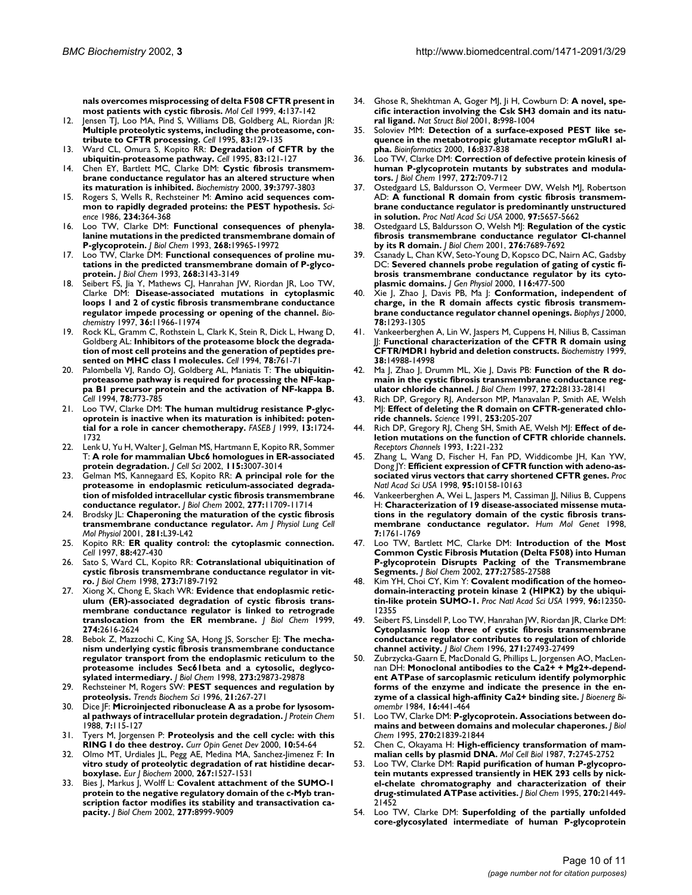**[nals overcomes misprocessing of delta F508 CFTR present in](http://www.ncbi.nlm.nih.gov/entrez/query.fcgi?cmd=Retrieve&db=PubMed&dopt=Abstract&list_uids=10445036) [most patients with cystic fibrosis.](http://www.ncbi.nlm.nih.gov/entrez/query.fcgi?cmd=Retrieve&db=PubMed&dopt=Abstract&list_uids=10445036)** *Mol Cell* 1999, **4:**137-142

- 12. [Jensen TJ, Loo MA, Pind S, Williams DB, Goldberg AL, Riordan JR:](http://www.ncbi.nlm.nih.gov/entrez/query.fcgi?cmd=Retrieve&db=PubMed&dopt=Abstract&list_uids=7553864) **[Multiple proteolytic systems, including the proteasome, con](http://www.ncbi.nlm.nih.gov/entrez/query.fcgi?cmd=Retrieve&db=PubMed&dopt=Abstract&list_uids=7553864)[tribute to CFTR processing.](http://www.ncbi.nlm.nih.gov/entrez/query.fcgi?cmd=Retrieve&db=PubMed&dopt=Abstract&list_uids=7553864)** *Cell* 1995, **83:**129-135
- 13. [Ward CL, Omura S, Kopito RR:](http://www.ncbi.nlm.nih.gov/entrez/query.fcgi?cmd=Retrieve&db=PubMed&dopt=Abstract&list_uids=7553863) **[Degradation of CFTR by the](http://www.ncbi.nlm.nih.gov/entrez/query.fcgi?cmd=Retrieve&db=PubMed&dopt=Abstract&list_uids=7553863) [ubiquitin-proteasome pathway.](http://www.ncbi.nlm.nih.gov/entrez/query.fcgi?cmd=Retrieve&db=PubMed&dopt=Abstract&list_uids=7553863)** *Cell* 1995, **83:**121-127
- 14. [Chen EY, Bartlett MC, Clarke DM:](http://www.ncbi.nlm.nih.gov/entrez/query.fcgi?cmd=Retrieve&db=PubMed&dopt=Abstract&list_uids=10736180) **[Cystic fibrosis transmem](http://www.ncbi.nlm.nih.gov/entrez/query.fcgi?cmd=Retrieve&db=PubMed&dopt=Abstract&list_uids=10.1021/bi992620m)[brane conductance regulator has an altered structure when](http://www.ncbi.nlm.nih.gov/entrez/query.fcgi?cmd=Retrieve&db=PubMed&dopt=Abstract&list_uids=10.1021/bi992620m) [its maturation is inhibited.](http://www.ncbi.nlm.nih.gov/entrez/query.fcgi?cmd=Retrieve&db=PubMed&dopt=Abstract&list_uids=10.1021/bi992620m)** *Biochemistry* 2000, **39:**3797-3803
- 15. [Rogers S, Wells R, Rechsteiner M:](http://www.ncbi.nlm.nih.gov/entrez/query.fcgi?cmd=Retrieve&db=PubMed&dopt=Abstract&list_uids=2876518) **[Amino acid sequences com](http://www.ncbi.nlm.nih.gov/entrez/query.fcgi?cmd=Retrieve&db=PubMed&dopt=Abstract&list_uids=2876518)[mon to rapidly degraded proteins: the PEST hypothesis.](http://www.ncbi.nlm.nih.gov/entrez/query.fcgi?cmd=Retrieve&db=PubMed&dopt=Abstract&list_uids=2876518)** *Science* 1986, **234:**364-368
- Loo TW, Clarke DM: [Functional consequences of phenyla](http://www.ncbi.nlm.nih.gov/entrez/query.fcgi?cmd=Retrieve&db=PubMed&dopt=Abstract&list_uids=8104183)**[lanine mutations in the predicted transmembrane domain of](http://www.ncbi.nlm.nih.gov/entrez/query.fcgi?cmd=Retrieve&db=PubMed&dopt=Abstract&list_uids=8104183) [P-glycoprotein.](http://www.ncbi.nlm.nih.gov/entrez/query.fcgi?cmd=Retrieve&db=PubMed&dopt=Abstract&list_uids=8104183)** *J Biol Chem* 1993, **268:**19965-19972
- 17. [Loo TW, Clarke DM:](http://www.ncbi.nlm.nih.gov/entrez/query.fcgi?cmd=Retrieve&db=PubMed&dopt=Abstract&list_uids=8094081) **[Functional consequences of proline mu](http://www.ncbi.nlm.nih.gov/entrez/query.fcgi?cmd=Retrieve&db=PubMed&dopt=Abstract&list_uids=8094081)[tations in the predicted transmembrane domain of P-glyco](http://www.ncbi.nlm.nih.gov/entrez/query.fcgi?cmd=Retrieve&db=PubMed&dopt=Abstract&list_uids=8094081)[protein.](http://www.ncbi.nlm.nih.gov/entrez/query.fcgi?cmd=Retrieve&db=PubMed&dopt=Abstract&list_uids=8094081)** *J Biol Chem* 1993, **268:**3143-3149
- Seibert FS, Jia Y, Mathews CJ, Hanrahan JW, Riordan JR, Loo TW, [Clarke DM:](http://www.ncbi.nlm.nih.gov/entrez/query.fcgi?cmd=Retrieve&db=PubMed&dopt=Abstract&list_uids=9305991) **[Disease-associated mutations in cytoplasmic](http://www.ncbi.nlm.nih.gov/entrez/query.fcgi?cmd=Retrieve&db=PubMed&dopt=Abstract&list_uids=10.1021/bi9712652) [loops 1 and 2 of cystic fibrosis transmembrane conductance](http://www.ncbi.nlm.nih.gov/entrez/query.fcgi?cmd=Retrieve&db=PubMed&dopt=Abstract&list_uids=10.1021/bi9712652) [regulator impede processing or opening of the channel.](http://www.ncbi.nlm.nih.gov/entrez/query.fcgi?cmd=Retrieve&db=PubMed&dopt=Abstract&list_uids=10.1021/bi9712652)** *Biochemistry* 1997, **36:**11966-11974
- 19. [Rock KL, Gramm C, Rothstein L, Clark K, Stein R, Dick L, Hwang D,](http://www.ncbi.nlm.nih.gov/entrez/query.fcgi?cmd=Retrieve&db=PubMed&dopt=Abstract&list_uids=8087844) [Goldberg AL:](http://www.ncbi.nlm.nih.gov/entrez/query.fcgi?cmd=Retrieve&db=PubMed&dopt=Abstract&list_uids=8087844) **[Inhibitors of the proteasome block the degrada](http://www.ncbi.nlm.nih.gov/entrez/query.fcgi?cmd=Retrieve&db=PubMed&dopt=Abstract&list_uids=8087844)[tion of most cell proteins and the generation of peptides pre](http://www.ncbi.nlm.nih.gov/entrez/query.fcgi?cmd=Retrieve&db=PubMed&dopt=Abstract&list_uids=8087844)[sented on MHC class I molecules.](http://www.ncbi.nlm.nih.gov/entrez/query.fcgi?cmd=Retrieve&db=PubMed&dopt=Abstract&list_uids=8087844)** *Cell* 1994, **78:**761-71
- 20. [Palombella VJ, Rando OJ, Goldberg AL, Maniatis T:](http://www.ncbi.nlm.nih.gov/entrez/query.fcgi?cmd=Retrieve&db=PubMed&dopt=Abstract&list_uids=8087845) **[The ubiquitin](http://www.ncbi.nlm.nih.gov/entrez/query.fcgi?cmd=Retrieve&db=PubMed&dopt=Abstract&list_uids=8087845)proteasome pathway is required for processing the NF-kap[pa B1 precursor protein and the activation of NF-kappa B.](http://www.ncbi.nlm.nih.gov/entrez/query.fcgi?cmd=Retrieve&db=PubMed&dopt=Abstract&list_uids=8087845)** *Cell* 1994, **78:**773-785
- 21. [Loo TW, Clarke DM:](http://www.ncbi.nlm.nih.gov/entrez/query.fcgi?cmd=Retrieve&db=PubMed&dopt=Abstract&list_uids=10506575) **[The human multidrug resistance P-glyc](http://www.ncbi.nlm.nih.gov/entrez/query.fcgi?cmd=Retrieve&db=PubMed&dopt=Abstract&list_uids=10506575)[oprotein is inactive when its maturation is inhibited: poten](http://www.ncbi.nlm.nih.gov/entrez/query.fcgi?cmd=Retrieve&db=PubMed&dopt=Abstract&list_uids=10506575)[tial for a role in cancer chemotherapy.](http://www.ncbi.nlm.nih.gov/entrez/query.fcgi?cmd=Retrieve&db=PubMed&dopt=Abstract&list_uids=10506575)** *FASEB J* 1999, **13:**1724- 1732
- Lenk U, Yu H, Walter J, Gelman MS, Hartmann E, Kopito RR, Sommer [T:](http://www.ncbi.nlm.nih.gov/entrez/query.fcgi?cmd=Retrieve&db=PubMed&dopt=Abstract&list_uids=12082160) **[A role for mammalian Ubc6 homologues in ER-associated](http://www.ncbi.nlm.nih.gov/entrez/query.fcgi?cmd=Retrieve&db=PubMed&dopt=Abstract&list_uids=12082160) [protein degradation.](http://www.ncbi.nlm.nih.gov/entrez/query.fcgi?cmd=Retrieve&db=PubMed&dopt=Abstract&list_uids=12082160)** *J Cell Sci* 2002, **115:**3007-3014
- 23. [Gelman MS, Kannegaard ES, Kopito RR:](http://www.ncbi.nlm.nih.gov/entrez/query.fcgi?cmd=Retrieve&db=PubMed&dopt=Abstract&list_uids=11812794) **[A principal role for the](http://www.ncbi.nlm.nih.gov/entrez/query.fcgi?cmd=Retrieve&db=PubMed&dopt=Abstract&list_uids=10.1074/jbc.M111958200) proteasome in endoplasmic reticulum-associated degrada[tion of misfolded intracellular cystic fibrosis transmembrane](http://www.ncbi.nlm.nih.gov/entrez/query.fcgi?cmd=Retrieve&db=PubMed&dopt=Abstract&list_uids=10.1074/jbc.M111958200) [conductance regulator.](http://www.ncbi.nlm.nih.gov/entrez/query.fcgi?cmd=Retrieve&db=PubMed&dopt=Abstract&list_uids=10.1074/jbc.M111958200)** *J Biol Chem* 2002, **277:**11709-11714
- 24. [Brodsky JL:](http://www.ncbi.nlm.nih.gov/entrez/query.fcgi?cmd=Retrieve&db=PubMed&dopt=Abstract&list_uids=11404243) **[Chaperoning the maturation of the cystic fibrosis](http://www.ncbi.nlm.nih.gov/entrez/query.fcgi?cmd=Retrieve&db=PubMed&dopt=Abstract&list_uids=11404243) [transmembrane conductance regulator.](http://www.ncbi.nlm.nih.gov/entrez/query.fcgi?cmd=Retrieve&db=PubMed&dopt=Abstract&list_uids=11404243)** *Am J Physiol Lung Cell Mol Physiol* 2001, **281:**L39-L42
- 25. [Kopito RR:](http://www.ncbi.nlm.nih.gov/entrez/query.fcgi?cmd=Retrieve&db=PubMed&dopt=Abstract&list_uids=9038332) **[ER quality control: the cytoplasmic connection.](http://www.ncbi.nlm.nih.gov/entrez/query.fcgi?cmd=Retrieve&db=PubMed&dopt=Abstract&list_uids=9038332)** *Cell* 1997, **88:**427-430
- 26. [Sato S, Ward CL, Kopito RR:](http://www.ncbi.nlm.nih.gov/entrez/query.fcgi?cmd=Retrieve&db=PubMed&dopt=Abstract&list_uids=9516408) **[Cotranslational ubiquitination of](http://www.ncbi.nlm.nih.gov/entrez/query.fcgi?cmd=Retrieve&db=PubMed&dopt=Abstract&list_uids=10.1074/jbc.273.13.7189) [cystic fibrosis transmembrane conductance regulator in vit](http://www.ncbi.nlm.nih.gov/entrez/query.fcgi?cmd=Retrieve&db=PubMed&dopt=Abstract&list_uids=10.1074/jbc.273.13.7189)[ro.](http://www.ncbi.nlm.nih.gov/entrez/query.fcgi?cmd=Retrieve&db=PubMed&dopt=Abstract&list_uids=10.1074/jbc.273.13.7189)** *J Biol Chem* 1998, **273:**7189-7192
- 27. [Xiong X, Chong E, Skach WR:](http://www.ncbi.nlm.nih.gov/entrez/query.fcgi?cmd=Retrieve&db=PubMed&dopt=Abstract&list_uids=9915789) **[Evidence that endoplasmic retic](http://www.ncbi.nlm.nih.gov/entrez/query.fcgi?cmd=Retrieve&db=PubMed&dopt=Abstract&list_uids=10.1074/jbc.274.5.2616)ulum (ER)-associated degradation of cystic fibrosis trans[membrane conductance regulator is linked to retrograde](http://www.ncbi.nlm.nih.gov/entrez/query.fcgi?cmd=Retrieve&db=PubMed&dopt=Abstract&list_uids=10.1074/jbc.274.5.2616) [translocation from the ER membrane.](http://www.ncbi.nlm.nih.gov/entrez/query.fcgi?cmd=Retrieve&db=PubMed&dopt=Abstract&list_uids=10.1074/jbc.274.5.2616)** *J Biol Chem* 1999, **274:**2616-2624
- 28. [Bebok Z, Mazzochi C, King SA, Hong JS, Sorscher EJ:](http://www.ncbi.nlm.nih.gov/entrez/query.fcgi?cmd=Retrieve&db=PubMed&dopt=Abstract&list_uids=9792704) **[The mecha](http://www.ncbi.nlm.nih.gov/entrez/query.fcgi?cmd=Retrieve&db=PubMed&dopt=Abstract&list_uids=10.1074/jbc.273.45.29873)nism underlying cystic fibrosis transmembrane conductance [regulator transport from the endoplasmic reticulum to the](http://www.ncbi.nlm.nih.gov/entrez/query.fcgi?cmd=Retrieve&db=PubMed&dopt=Abstract&list_uids=10.1074/jbc.273.45.29873) proteasome includes Sec61beta and a cytosolic, deglyco[sylated intermediary.](http://www.ncbi.nlm.nih.gov/entrez/query.fcgi?cmd=Retrieve&db=PubMed&dopt=Abstract&list_uids=10.1074/jbc.273.45.29873)** *J Biol Chem* 1998, **273:**29873-29878
- 29. [Rechsteiner M, Rogers SW:](http://www.ncbi.nlm.nih.gov/entrez/query.fcgi?cmd=Retrieve&db=PubMed&dopt=Abstract&list_uids=8755249) **[PEST sequences and regulation by](http://www.ncbi.nlm.nih.gov/entrez/query.fcgi?cmd=Retrieve&db=PubMed&dopt=Abstract&list_uids=10.1016/0968-0004(96)10031-1) [proteolysis.](http://www.ncbi.nlm.nih.gov/entrez/query.fcgi?cmd=Retrieve&db=PubMed&dopt=Abstract&list_uids=10.1016/0968-0004(96)10031-1)** *Trends Biochem Sci* 1996, **21:**267-271
- 30. [Dice JF:](http://www.ncbi.nlm.nih.gov/entrez/query.fcgi?cmd=Retrieve&db=PubMed&dopt=Abstract&list_uids=3076449) **[Microinjected ribonuclease A as a probe for lysosom](http://www.ncbi.nlm.nih.gov/entrez/query.fcgi?cmd=Retrieve&db=PubMed&dopt=Abstract&list_uids=3076449)[al pathways of intracellular protein degradation.](http://www.ncbi.nlm.nih.gov/entrez/query.fcgi?cmd=Retrieve&db=PubMed&dopt=Abstract&list_uids=3076449)** *J Protein Chem* 1988, **7:**115-127
- 31. [Tyers M, Jorgensen P:](http://www.ncbi.nlm.nih.gov/entrez/query.fcgi?cmd=Retrieve&db=PubMed&dopt=Abstract&list_uids=10679394) **[Proteolysis and the cell cycle: with this](http://www.ncbi.nlm.nih.gov/entrez/query.fcgi?cmd=Retrieve&db=PubMed&dopt=Abstract&list_uids=10.1016/S0959-437X(99)00049-0) [RING I do thee destroy.](http://www.ncbi.nlm.nih.gov/entrez/query.fcgi?cmd=Retrieve&db=PubMed&dopt=Abstract&list_uids=10.1016/S0959-437X(99)00049-0)** *Curr Opin Genet Dev* 2000, **10:**54-64
- 32. [Olmo MT, Urdiales JL, Pegg AE, Medina MA, Sanchez-Jimenez F:](http://www.ncbi.nlm.nih.gov/entrez/query.fcgi?cmd=Retrieve&db=PubMed&dopt=Abstract&list_uids=10691992) **[In](http://www.ncbi.nlm.nih.gov/entrez/query.fcgi?cmd=Retrieve&db=PubMed&dopt=Abstract&list_uids=10.1046/j.1432-1327.2000.01153.x) [vitro study of proteolytic degradation of rat histidine decar](http://www.ncbi.nlm.nih.gov/entrez/query.fcgi?cmd=Retrieve&db=PubMed&dopt=Abstract&list_uids=10.1046/j.1432-1327.2000.01153.x)[boxylase.](http://www.ncbi.nlm.nih.gov/entrez/query.fcgi?cmd=Retrieve&db=PubMed&dopt=Abstract&list_uids=10.1046/j.1432-1327.2000.01153.x)** *Eur J Biochem* 2000, **267:**1527-1531
- 33. [Bies J, Markus J, Wolff L:](http://www.ncbi.nlm.nih.gov/entrez/query.fcgi?cmd=Retrieve&db=PubMed&dopt=Abstract&list_uids=11779867) **[Covalent attachment of the SUMO-1](http://www.ncbi.nlm.nih.gov/entrez/query.fcgi?cmd=Retrieve&db=PubMed&dopt=Abstract&list_uids=10.1074/jbc.M110453200) protein to the negative regulatory domain of the c-Myb tran[scription factor modifies its stability and transactivation ca](http://www.ncbi.nlm.nih.gov/entrez/query.fcgi?cmd=Retrieve&db=PubMed&dopt=Abstract&list_uids=10.1074/jbc.M110453200)[pacity.](http://www.ncbi.nlm.nih.gov/entrez/query.fcgi?cmd=Retrieve&db=PubMed&dopt=Abstract&list_uids=10.1074/jbc.M110453200)** *J Biol Chem* 2002, **277:**8999-9009
- 34. [Ghose R, Shekhtman A, Goger MJ, Ji H, Cowburn D:](http://www.ncbi.nlm.nih.gov/entrez/query.fcgi?cmd=Retrieve&db=PubMed&dopt=Abstract&list_uids=11685249) **[A novel, spe](http://www.ncbi.nlm.nih.gov/entrez/query.fcgi?cmd=Retrieve&db=PubMed&dopt=Abstract&list_uids=10.1038/nsb1101-998)[cific interaction involving the Csk SH3 domain and its natu](http://www.ncbi.nlm.nih.gov/entrez/query.fcgi?cmd=Retrieve&db=PubMed&dopt=Abstract&list_uids=10.1038/nsb1101-998)[ral ligand.](http://www.ncbi.nlm.nih.gov/entrez/query.fcgi?cmd=Retrieve&db=PubMed&dopt=Abstract&list_uids=10.1038/nsb1101-998)** *Nat Struct Biol* 2001, **8:**998-1004
- 35. [Soloviev MM:](http://www.ncbi.nlm.nih.gov/entrez/query.fcgi?cmd=Retrieve&db=PubMed&dopt=Abstract&list_uids=11108706) **[Detection of a surface-exposed PEST like se](http://www.ncbi.nlm.nih.gov/entrez/query.fcgi?cmd=Retrieve&db=PubMed&dopt=Abstract&list_uids=10.1093/bioinformatics/16.9.837)[quence in the metabotropic glutamate receptor mGluR1 al](http://www.ncbi.nlm.nih.gov/entrez/query.fcgi?cmd=Retrieve&db=PubMed&dopt=Abstract&list_uids=10.1093/bioinformatics/16.9.837)[pha.](http://www.ncbi.nlm.nih.gov/entrez/query.fcgi?cmd=Retrieve&db=PubMed&dopt=Abstract&list_uids=10.1093/bioinformatics/16.9.837)** *Bioinformatics* 2000, **16:**837-838
- 36. [Loo TW, Clarke DM:](http://www.ncbi.nlm.nih.gov/entrez/query.fcgi?cmd=Retrieve&db=PubMed&dopt=Abstract&list_uids=8995353) **[Correction of defective protein kinesis of](http://www.ncbi.nlm.nih.gov/entrez/query.fcgi?cmd=Retrieve&db=PubMed&dopt=Abstract&list_uids=10.1074/jbc.272.2.709) [human P-glycoprotein mutants by substrates and modula](http://www.ncbi.nlm.nih.gov/entrez/query.fcgi?cmd=Retrieve&db=PubMed&dopt=Abstract&list_uids=10.1074/jbc.272.2.709)[tors.](http://www.ncbi.nlm.nih.gov/entrez/query.fcgi?cmd=Retrieve&db=PubMed&dopt=Abstract&list_uids=10.1074/jbc.272.2.709)** *J Biol Chem* 1997, **272:**709-712
- 37. [Ostedgaard LS, Baldursson O, Vermeer DW, Welsh MJ, Robertson](http://www.ncbi.nlm.nih.gov/entrez/query.fcgi?cmd=Retrieve&db=PubMed&dopt=Abstract&list_uids=10.1073/pnas.100588797) [AD:](http://www.ncbi.nlm.nih.gov/entrez/query.fcgi?cmd=Retrieve&db=PubMed&dopt=Abstract&list_uids=10.1073/pnas.100588797) **[A functional R domain from cystic fibrosis transmem](http://www.ncbi.nlm.nih.gov/entrez/query.fcgi?cmd=Retrieve&db=PubMed&dopt=Abstract&list_uids=25884)[brane conductance regulator is predominantly unstructured](http://www.ncbi.nlm.nih.gov/entrez/query.fcgi?cmd=Retrieve&db=PubMed&dopt=Abstract&list_uids=25884) [in solution.](http://www.ncbi.nlm.nih.gov/entrez/query.fcgi?cmd=Retrieve&db=PubMed&dopt=Abstract&list_uids=25884)** *Proc Natl Acad Sci USA* 2000, **97:**5657-5662
- 38. [Ostedgaard LS, Baldursson O, Welsh MJ:](http://www.ncbi.nlm.nih.gov/entrez/query.fcgi?cmd=Retrieve&db=PubMed&dopt=Abstract&list_uids=11244086) **[Regulation of the cystic](http://www.ncbi.nlm.nih.gov/entrez/query.fcgi?cmd=Retrieve&db=PubMed&dopt=Abstract&list_uids=10.1074/jbc.R100001200) [fibrosis transmembrane conductance regulator Cl-channel](http://www.ncbi.nlm.nih.gov/entrez/query.fcgi?cmd=Retrieve&db=PubMed&dopt=Abstract&list_uids=10.1074/jbc.R100001200) [by its R domain.](http://www.ncbi.nlm.nih.gov/entrez/query.fcgi?cmd=Retrieve&db=PubMed&dopt=Abstract&list_uids=10.1074/jbc.R100001200)** *J Biol Chem* 2001, **276:**7689-7692
- Csanady L, Chan KW, Seto-Young D, Kopsco DC, Nairn AC, Gadsby [DC:](http://www.ncbi.nlm.nih.gov/entrez/query.fcgi?cmd=Retrieve&db=PubMed&dopt=Abstract&list_uids=10962022) **[Severed channels probe regulation of gating of cystic fi](http://www.ncbi.nlm.nih.gov/entrez/query.fcgi?cmd=Retrieve&db=PubMed&dopt=Abstract&list_uids=10.1085/jgp.116.3.477)[brosis transmembrane conductance regulator by its cyto](http://www.ncbi.nlm.nih.gov/entrez/query.fcgi?cmd=Retrieve&db=PubMed&dopt=Abstract&list_uids=10.1085/jgp.116.3.477)[plasmic domains.](http://www.ncbi.nlm.nih.gov/entrez/query.fcgi?cmd=Retrieve&db=PubMed&dopt=Abstract&list_uids=10.1085/jgp.116.3.477)** *J Gen Physiol* 2000, **116:**477-500
- 40. [Xie J, Zhao J, Davis PB, Ma J:](http://www.ncbi.nlm.nih.gov/entrez/query.fcgi?cmd=Retrieve&db=PubMed&dopt=Abstract&list_uids=10692317) **[Conformation, independent of](http://www.ncbi.nlm.nih.gov/entrez/query.fcgi?cmd=Retrieve&db=PubMed&dopt=Abstract&list_uids=10692317) [charge, in the R domain affects cystic fibrosis transmem](http://www.ncbi.nlm.nih.gov/entrez/query.fcgi?cmd=Retrieve&db=PubMed&dopt=Abstract&list_uids=10692317)[brane conductance regulator channel openings.](http://www.ncbi.nlm.nih.gov/entrez/query.fcgi?cmd=Retrieve&db=PubMed&dopt=Abstract&list_uids=10692317)** *Biophys J* 2000, **78:**1293-1305
- 41. [Vankeerberghen A, Lin W, Jaspers M, Cuppens H, Nilius B, Cassiman](http://www.ncbi.nlm.nih.gov/entrez/query.fcgi?cmd=Retrieve&db=PubMed&dopt=Abstract&list_uids=10555981) [JJ:](http://www.ncbi.nlm.nih.gov/entrez/query.fcgi?cmd=Retrieve&db=PubMed&dopt=Abstract&list_uids=10555981) **[Functional characterization of the CFTR R domain using](http://www.ncbi.nlm.nih.gov/entrez/query.fcgi?cmd=Retrieve&db=PubMed&dopt=Abstract&list_uids=10.1021/bi991520d) [CFTR/MDR1 hybrid and deletion constructs.](http://www.ncbi.nlm.nih.gov/entrez/query.fcgi?cmd=Retrieve&db=PubMed&dopt=Abstract&list_uids=10.1021/bi991520d)** *Biochemistry* 1999, **38:**14988-14998
- 42. [Ma J, Zhao J, Drumm ML, Xie J, Davis PB:](http://www.ncbi.nlm.nih.gov/entrez/query.fcgi?cmd=Retrieve&db=PubMed&dopt=Abstract&list_uids=9346969) **[Function of the R do](http://www.ncbi.nlm.nih.gov/entrez/query.fcgi?cmd=Retrieve&db=PubMed&dopt=Abstract&list_uids=10.1074/jbc.272.44.28133)[main in the cystic fibrosis transmembrane conductance reg](http://www.ncbi.nlm.nih.gov/entrez/query.fcgi?cmd=Retrieve&db=PubMed&dopt=Abstract&list_uids=10.1074/jbc.272.44.28133)[ulator chloride channel.](http://www.ncbi.nlm.nih.gov/entrez/query.fcgi?cmd=Retrieve&db=PubMed&dopt=Abstract&list_uids=10.1074/jbc.272.44.28133)** *J Biol Chem* 1997, **272:**28133-28141
- 43. [Rich DP, Gregory RJ, Anderson MP, Manavalan P, Smith AE, Welsh](http://www.ncbi.nlm.nih.gov/entrez/query.fcgi?cmd=Retrieve&db=PubMed&dopt=Abstract&list_uids=1712985) [MJ:](http://www.ncbi.nlm.nih.gov/entrez/query.fcgi?cmd=Retrieve&db=PubMed&dopt=Abstract&list_uids=1712985) **[Effect of deleting the R domain on CFTR-generated chlo](http://www.ncbi.nlm.nih.gov/entrez/query.fcgi?cmd=Retrieve&db=PubMed&dopt=Abstract&list_uids=1712985)[ride channels.](http://www.ncbi.nlm.nih.gov/entrez/query.fcgi?cmd=Retrieve&db=PubMed&dopt=Abstract&list_uids=1712985)** *Science* 1991, **253:**205-207
- 44. [Rich DP, Gregory RJ, Cheng SH, Smith AE, Welsh MJ:](http://www.ncbi.nlm.nih.gov/entrez/query.fcgi?cmd=Retrieve&db=PubMed&dopt=Abstract&list_uids=7522901) **[Effect of de](http://www.ncbi.nlm.nih.gov/entrez/query.fcgi?cmd=Retrieve&db=PubMed&dopt=Abstract&list_uids=7522901)[letion mutations on the function of CFTR chloride channels.](http://www.ncbi.nlm.nih.gov/entrez/query.fcgi?cmd=Retrieve&db=PubMed&dopt=Abstract&list_uids=7522901)** *Receptors Channels* 1993, **1:**221-232
- 45. [Zhang L, Wang D, Fischer H, Fan PD, Widdicombe JH, Kan YW,](http://www.ncbi.nlm.nih.gov/entrez/query.fcgi?cmd=Retrieve&db=PubMed&dopt=Abstract&list_uids=10.1073/pnas.95.17.10158) [Dong JY:](http://www.ncbi.nlm.nih.gov/entrez/query.fcgi?cmd=Retrieve&db=PubMed&dopt=Abstract&list_uids=10.1073/pnas.95.17.10158) **[Efficient expression of CFTR function with adeno-as](http://www.ncbi.nlm.nih.gov/entrez/query.fcgi?cmd=Retrieve&db=PubMed&dopt=Abstract&list_uids=21478)[sociated virus vectors that carry shortened CFTR genes.](http://www.ncbi.nlm.nih.gov/entrez/query.fcgi?cmd=Retrieve&db=PubMed&dopt=Abstract&list_uids=21478)** *Proc Natl Acad Sci USA* 1998, **95:**10158-10163
- 46. [Vankeerberghen A, Wei L, Jaspers M, Cassiman JJ, Nilius B, Cuppens](http://www.ncbi.nlm.nih.gov/entrez/query.fcgi?cmd=Retrieve&db=PubMed&dopt=Abstract&list_uids=9736778) [H:](http://www.ncbi.nlm.nih.gov/entrez/query.fcgi?cmd=Retrieve&db=PubMed&dopt=Abstract&list_uids=9736778) **[Characterization of 19 disease-associated missense muta](http://www.ncbi.nlm.nih.gov/entrez/query.fcgi?cmd=Retrieve&db=PubMed&dopt=Abstract&list_uids=10.1093/hmg/7.11.1761)[tions in the regulatory domain of the cystic fibrosis trans](http://www.ncbi.nlm.nih.gov/entrez/query.fcgi?cmd=Retrieve&db=PubMed&dopt=Abstract&list_uids=10.1093/hmg/7.11.1761)[membrane conductance regulator.](http://www.ncbi.nlm.nih.gov/entrez/query.fcgi?cmd=Retrieve&db=PubMed&dopt=Abstract&list_uids=10.1093/hmg/7.11.1761)** *Hum Mol Genet* 1998, **7:**1761-1769
- 47. [Loo TW, Bartlett MC, Clarke DM:](http://www.ncbi.nlm.nih.gov/entrez/query.fcgi?cmd=Retrieve&db=PubMed&dopt=Abstract&list_uids=12070134) **[Introduction of the Most](http://www.ncbi.nlm.nih.gov/entrez/query.fcgi?cmd=Retrieve&db=PubMed&dopt=Abstract&list_uids=10.1074/jbc.C200330200) Common Cystic Fibrosis Mutation (Delta F508) into Human [P-glycoprotein Disrupts Packing of the Transmembrane](http://www.ncbi.nlm.nih.gov/entrez/query.fcgi?cmd=Retrieve&db=PubMed&dopt=Abstract&list_uids=10.1074/jbc.C200330200) [Segments.](http://www.ncbi.nlm.nih.gov/entrez/query.fcgi?cmd=Retrieve&db=PubMed&dopt=Abstract&list_uids=10.1074/jbc.C200330200)** *J Biol Chem* 2002, **277:**27585-27588
- Kim YH, Choi CY, Kim Y: **[Covalent modification of the homeo](http://www.ncbi.nlm.nih.gov/entrez/query.fcgi?cmd=Retrieve&db=PubMed&dopt=Abstract&list_uids=22920)[domain-interacting protein kinase 2 \(HIPK2\) by the ubiqui](http://www.ncbi.nlm.nih.gov/entrez/query.fcgi?cmd=Retrieve&db=PubMed&dopt=Abstract&list_uids=22920)[tin-like protein SUMO-1.](http://www.ncbi.nlm.nih.gov/entrez/query.fcgi?cmd=Retrieve&db=PubMed&dopt=Abstract&list_uids=22920)** *Proc Natl Acad Sci USA* 1999, **96:**12350- 12355
- 49. [Seibert FS, Linsdell P, Loo TW, Hanrahan JW, Riordan JR, Clarke DM:](http://www.ncbi.nlm.nih.gov/entrez/query.fcgi?cmd=Retrieve&db=PubMed&dopt=Abstract&list_uids=8910333) **[Cytoplasmic loop three of cystic fibrosis transmembrane](http://www.ncbi.nlm.nih.gov/entrez/query.fcgi?cmd=Retrieve&db=PubMed&dopt=Abstract&list_uids=10.1074/jbc.271.44.27493) [conductance regulator contributes to regulation of chloride](http://www.ncbi.nlm.nih.gov/entrez/query.fcgi?cmd=Retrieve&db=PubMed&dopt=Abstract&list_uids=10.1074/jbc.271.44.27493) [channel activity.](http://www.ncbi.nlm.nih.gov/entrez/query.fcgi?cmd=Retrieve&db=PubMed&dopt=Abstract&list_uids=10.1074/jbc.271.44.27493)** *J Biol Chem* 1996, **271:**27493-27499
- Zubrzycka-Gaarn E, MacDonald G, Phillips L, Jorgensen AO, MacLen[nan DH:](http://www.ncbi.nlm.nih.gov/entrez/query.fcgi?cmd=Retrieve&db=PubMed&dopt=Abstract&list_uids=6152660) **[Monoclonal antibodies to the Ca2+ + Mg2+-depend](http://www.ncbi.nlm.nih.gov/entrez/query.fcgi?cmd=Retrieve&db=PubMed&dopt=Abstract&list_uids=6152660)ent ATPase of sarcoplasmic reticulum identify polymorphic [forms of the enzyme and indicate the presence in the en](http://www.ncbi.nlm.nih.gov/entrez/query.fcgi?cmd=Retrieve&db=PubMed&dopt=Abstract&list_uids=6152660)[zyme of a classical high-affinity Ca2+ binding site.](http://www.ncbi.nlm.nih.gov/entrez/query.fcgi?cmd=Retrieve&db=PubMed&dopt=Abstract&list_uids=6152660)** *J Bioenerg Biomembr* 1984, **16:**441-464
- 51. [Loo TW, Clarke DM:](http://www.ncbi.nlm.nih.gov/entrez/query.fcgi?cmd=Retrieve&db=PubMed&dopt=Abstract&list_uids=7545169) **[P-glycoprotein. Associations between do](http://www.ncbi.nlm.nih.gov/entrez/query.fcgi?cmd=Retrieve&db=PubMed&dopt=Abstract&list_uids=10.1074/jbc.270.45.27099)[mains and between domains and molecular chaperones.](http://www.ncbi.nlm.nih.gov/entrez/query.fcgi?cmd=Retrieve&db=PubMed&dopt=Abstract&list_uids=10.1074/jbc.270.45.27099)** *J Biol Chem* 1995, **270:**21839-21844
- 52. [Chen C, Okayama H:](http://www.ncbi.nlm.nih.gov/entrez/query.fcgi?cmd=Retrieve&db=PubMed&dopt=Abstract&list_uids=3670292) **[High-efficiency transformation of mam](http://www.ncbi.nlm.nih.gov/entrez/query.fcgi?cmd=Retrieve&db=PubMed&dopt=Abstract&list_uids=3670292)[malian cells by plasmid DNA.](http://www.ncbi.nlm.nih.gov/entrez/query.fcgi?cmd=Retrieve&db=PubMed&dopt=Abstract&list_uids=3670292)** *Mol Cell Biol* 1987, **7:**2745-2752
- 53. [Loo TW, Clarke DM:](http://www.ncbi.nlm.nih.gov/entrez/query.fcgi?cmd=Retrieve&db=PubMed&dopt=Abstract&list_uids=7665554) **[Rapid purification of human P-glycopro](http://www.ncbi.nlm.nih.gov/entrez/query.fcgi?cmd=Retrieve&db=PubMed&dopt=Abstract&list_uids=10.1074/jbc.270.45.27099)tein mutants expressed transiently in HEK 293 cells by nick[el-chelate chromatography and characterization of their](http://www.ncbi.nlm.nih.gov/entrez/query.fcgi?cmd=Retrieve&db=PubMed&dopt=Abstract&list_uids=10.1074/jbc.270.45.27099) [drug-stimulated ATPase activities.](http://www.ncbi.nlm.nih.gov/entrez/query.fcgi?cmd=Retrieve&db=PubMed&dopt=Abstract&list_uids=10.1074/jbc.270.45.27099)** *J Biol Chem* 1995, **270:**21449- 21452
- 54. [Loo TW, Clarke DM:](http://www.ncbi.nlm.nih.gov/entrez/query.fcgi?cmd=Retrieve&db=PubMed&dopt=Abstract&list_uids=9614062) **[Superfolding of the partially unfolded](http://www.ncbi.nlm.nih.gov/entrez/query.fcgi?cmd=Retrieve&db=PubMed&dopt=Abstract&list_uids=10.1074/jbc.273.24.14671) [core-glycosylated intermediate of human P-glycoprotein](http://www.ncbi.nlm.nih.gov/entrez/query.fcgi?cmd=Retrieve&db=PubMed&dopt=Abstract&list_uids=10.1074/jbc.273.24.14671)**